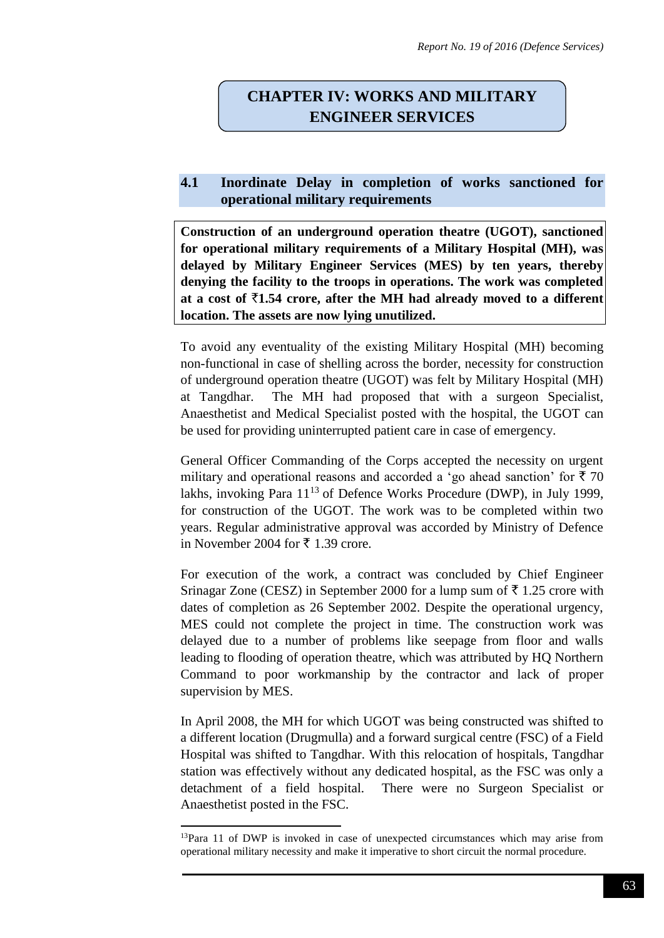## **CHAPTER IV: WORKS AND MILITARY ENGINEER SERVICES**

## **4.1 Inordinate Delay in completion of works sanctioned for operational military requirements**

**Construction of an underground operation theatre (UGOT), sanctioned for operational military requirements of a Military Hospital (MH), was delayed by Military Engineer Services (MES) by ten years, thereby denying the facility to the troops in operations. The work was completed**  at a cost of  $\bar{\tau}$ 1.54 crore, after the MH had already moved to a different **location. The assets are now lying unutilized.**

To avoid any eventuality of the existing Military Hospital (MH) becoming non-functional in case of shelling across the border, necessity for construction of underground operation theatre (UGOT) was felt by Military Hospital (MH) at Tangdhar. The MH had proposed that with a surgeon Specialist, Anaesthetist and Medical Specialist posted with the hospital, the UGOT can be used for providing uninterrupted patient care in case of emergency.

General Officer Commanding of the Corps accepted the necessity on urgent military and operational reasons and accorded a 'go ahead sanction' for  $\bar{x}$  70 lakhs, invoking Para  $11^{13}$  of Defence Works Procedure (DWP), in July 1999, for construction of the UGOT. The work was to be completed within two years. Regular administrative approval was accorded by Ministry of Defence in November 2004 for  $\bar{\tau}$  1.39 crore.

For execution of the work, a contract was concluded by Chief Engineer Srinagar Zone (CESZ) in September 2000 for a lump sum of  $\bar{\tau}$  1.25 crore with dates of completion as 26 September 2002. Despite the operational urgency, MES could not complete the project in time. The construction work was delayed due to a number of problems like seepage from floor and walls leading to flooding of operation theatre, which was attributed by HQ Northern Command to poor workmanship by the contractor and lack of proper supervision by MES.

In April 2008, the MH for which UGOT was being constructed was shifted to a different location (Drugmulla) and a forward surgical centre (FSC) of a Field Hospital was shifted to Tangdhar. With this relocation of hospitals, Tangdhar station was effectively without any dedicated hospital, as the FSC was only a detachment of a field hospital. There were no Surgeon Specialist or Anaesthetist posted in the FSC.

**.** 

<sup>&</sup>lt;sup>13</sup>Para 11 of DWP is invoked in case of unexpected circumstances which may arise from operational military necessity and make it imperative to short circuit the normal procedure.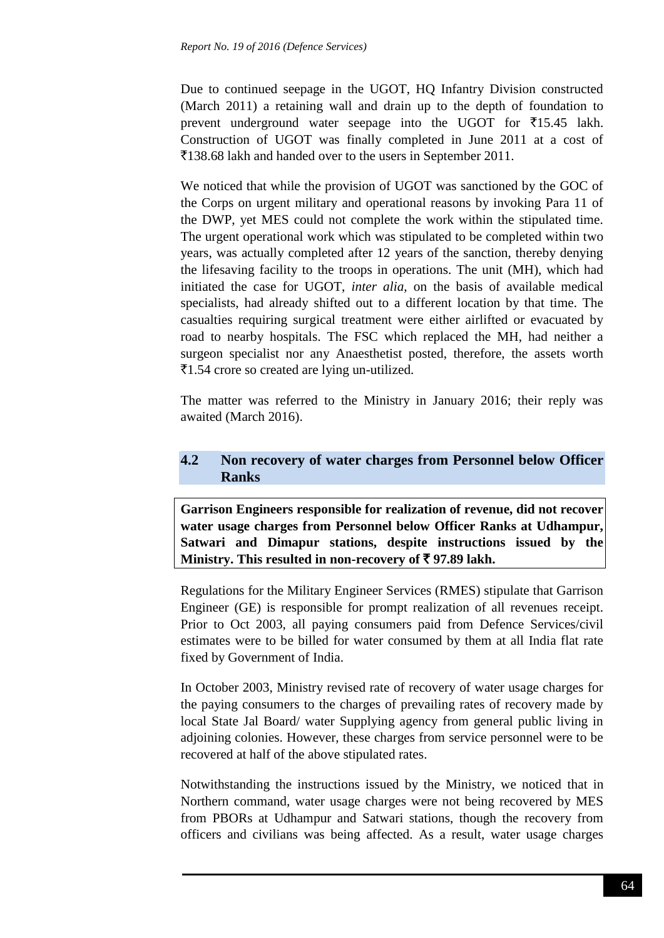Due to continued seepage in the UGOT, HQ Infantry Division constructed (March 2011) a retaining wall and drain up to the depth of foundation to prevent underground water seepage into the UGOT for  $\overline{5}15.45$  lakh. Construction of UGOT was finally completed in June 2011 at a cost of `138.68 lakh and handed over to the users in September 2011.

We noticed that while the provision of UGOT was sanctioned by the GOC of the Corps on urgent military and operational reasons by invoking Para 11 of the DWP, yet MES could not complete the work within the stipulated time. The urgent operational work which was stipulated to be completed within two years, was actually completed after 12 years of the sanction, thereby denying the lifesaving facility to the troops in operations. The unit (MH), which had initiated the case for UGOT, *inter alia,* on the basis of available medical specialists, had already shifted out to a different location by that time. The casualties requiring surgical treatment were either airlifted or evacuated by road to nearby hospitals. The FSC which replaced the MH, had neither a surgeon specialist nor any Anaesthetist posted, therefore, the assets worth  $\overline{5}1.54$  crore so created are lying un-utilized.

The matter was referred to the Ministry in January 2016; their reply was awaited (March 2016).

## **4.2 Non recovery of water charges from Personnel below Officer Ranks**

**Garrison Engineers responsible for realization of revenue, did not recover water usage charges from Personnel below Officer Ranks at Udhampur, Satwari and Dimapur stations, despite instructions issued by the Ministry. This resulted in non-recovery of** ` **97.89 lakh.**

Regulations for the Military Engineer Services (RMES) stipulate that Garrison Engineer (GE) is responsible for prompt realization of all revenues receipt. Prior to Oct 2003, all paying consumers paid from Defence Services/civil estimates were to be billed for water consumed by them at all India flat rate fixed by Government of India.

In October 2003, Ministry revised rate of recovery of water usage charges for the paying consumers to the charges of prevailing rates of recovery made by local State Jal Board/ water Supplying agency from general public living in adjoining colonies. However, these charges from service personnel were to be recovered at half of the above stipulated rates.

Notwithstanding the instructions issued by the Ministry, we noticed that in Northern command, water usage charges were not being recovered by MES from PBORs at Udhampur and Satwari stations, though the recovery from officers and civilians was being affected. As a result, water usage charges